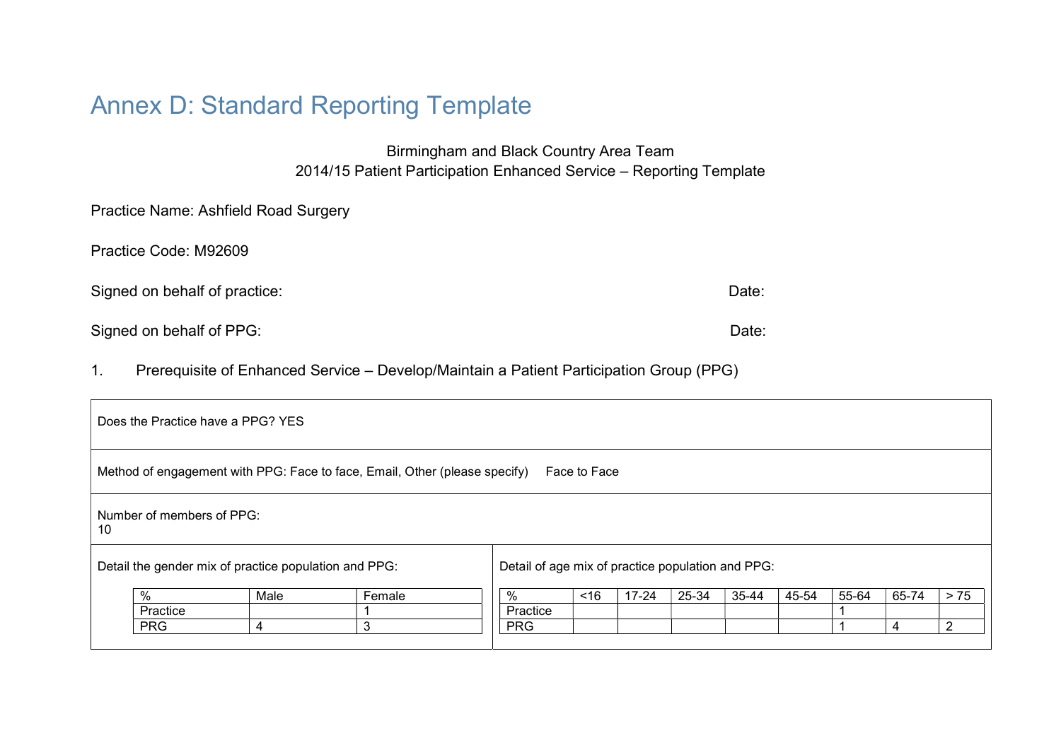# Annex D: Standard Reporting Template

Birmingham and Black Country Area Team 2014/15 Patient Participation Enhanced Service – Reporting Template

Practice Code: M92609

Signed on behalf of practice: Date: Date: Date: Date: Date: Date: Date: Date: Date: Date: Date: Date: Date: Date: Date: Date: Date: Date: Date: Date: Date: Date: Date: Date: Date: Date: Date: Date: Date: Date: Date: Date:

Signed on behalf of PPG:  $D$ 

1. Prerequisite of Enhanced Service – Develop/Maintain a Patient Participation Group (PPG)

| Method of engagement with PPG: Face to face, Email, Other (please specify)<br>Face to Face<br>Number of members of PPG:<br>10 |      |
|-------------------------------------------------------------------------------------------------------------------------------|------|
|                                                                                                                               |      |
|                                                                                                                               |      |
| Detail the gender mix of practice population and PPG:<br>Detail of age mix of practice population and PPG:                    |      |
| %<br>Female<br>35-44<br>45-54<br>55-64<br>65-74<br>$17 - 24$<br>25-34<br>~16<br>Male<br>%                                     | > 75 |
| Practice<br>Practice                                                                                                          |      |
| <b>PRG</b><br><b>PRG</b><br>3<br>ົ<br>4<br>4                                                                                  |      |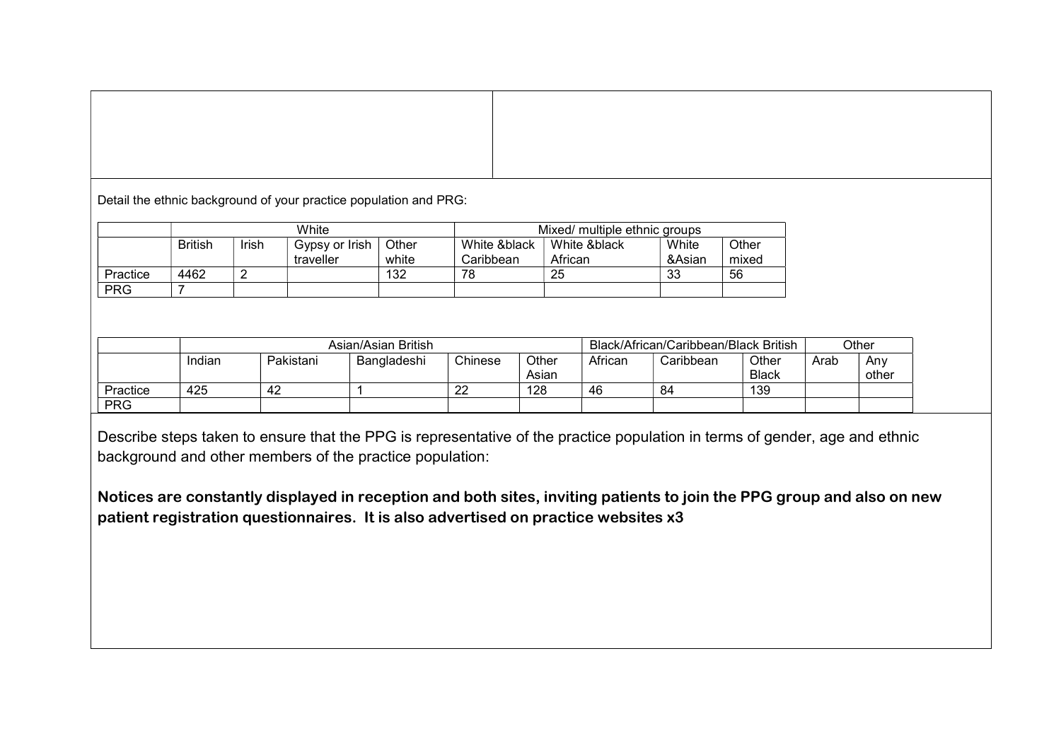Detail the ethnic background of your practice population and PRG:

|            | White          |       |                             | Mixed/ multiple ethnic groups |                           |                         |                 |                |
|------------|----------------|-------|-----------------------------|-------------------------------|---------------------------|-------------------------|-----------------|----------------|
|            | <b>British</b> | Irish | Gypsy or Irish<br>traveller | Other<br>white                | White &black<br>Caribbean | White &black<br>African | White<br>&Asian | Other<br>mixed |
| Practice   | 4462           |       |                             | 132                           | 78                        | 25                      | 33              | 56             |
| <b>PRG</b> |                |       |                             |                               |                           |                         |                 |                |

|            |        |           | Asian/Asian British |          |                |         | Black/African/Caribbean/Black British |                       |      | Other        |
|------------|--------|-----------|---------------------|----------|----------------|---------|---------------------------------------|-----------------------|------|--------------|
|            | Indian | Pakistani | Bangladeshi         | Chinese  | Other<br>Asian | African | Caribbean                             | Other<br><b>Black</b> | Arab | Anv<br>other |
| Practice   | 425    | 42        |                     | ററ<br>22 | 128            | 46      | -84                                   | 139                   |      |              |
| <b>PRG</b> |        |           |                     |          |                |         |                                       |                       |      |              |

Describe steps taken to ensure that the PPG is representative of the practice population in terms of gender, age and ethnic background and other members of the practice population:

Notices are constantly displayed in reception and both sites, inviting patients to join the PPG group and also on new patient registration questionnaires. It is also advertised on practice websites x3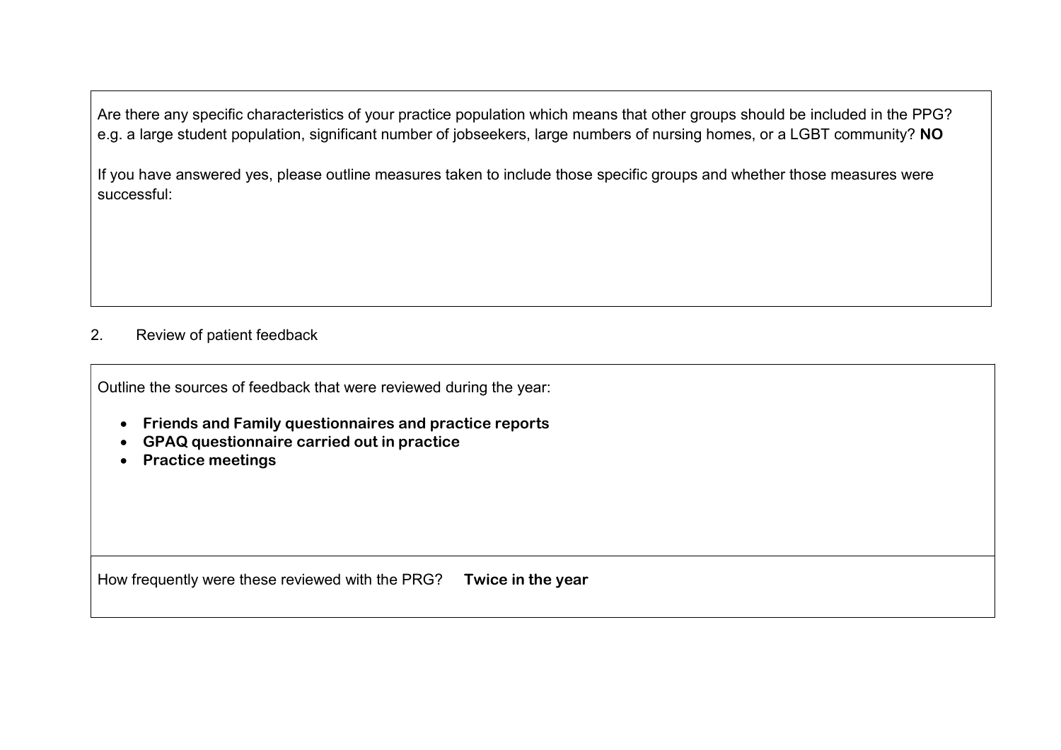Are there any specific characteristics of your practice population which means that other groups should be included in the PPG? e.g. a large student population, significant number of jobseekers, large numbers of nursing homes, or a LGBT community? NO

If you have answered yes, please outline measures taken to include those specific groups and whether those measures were successful:

### 2. Review of patient feedback

Outline the sources of feedback that were reviewed during the year:

- Friends and Family questionnaires and practice reports
- GPAQ questionnaire carried out in practice
- Practice meetings

How frequently were these reviewed with the PRG? Twice in the year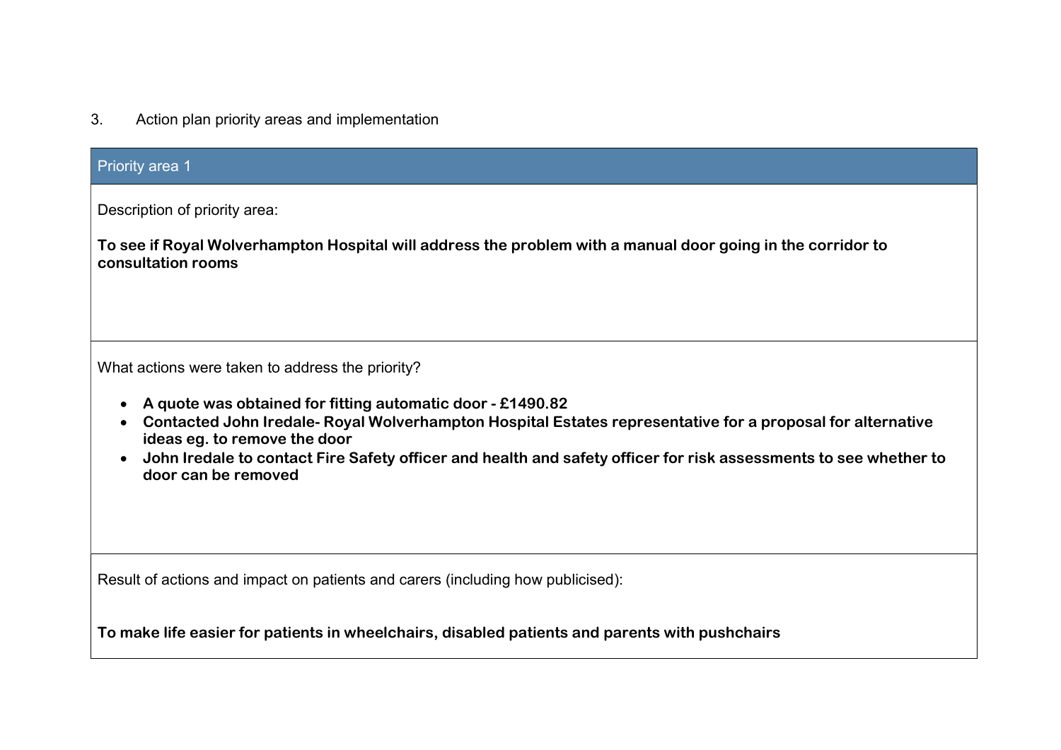| 3. |  |  | Action plan priority areas and implementation |  |
|----|--|--|-----------------------------------------------|--|
|----|--|--|-----------------------------------------------|--|

| <b>Priority area 1</b>                                                                                                                                                                                                                                                                                                                                                                                                            |
|-----------------------------------------------------------------------------------------------------------------------------------------------------------------------------------------------------------------------------------------------------------------------------------------------------------------------------------------------------------------------------------------------------------------------------------|
| Description of priority area:<br>To see if Royal Wolverhampton Hospital will address the problem with a manual door going in the corridor to<br>consultation rooms                                                                                                                                                                                                                                                                |
| What actions were taken to address the priority?<br>A quote was obtained for fitting automatic door - £1490.82<br>Contacted John Iredale- Royal Wolverhampton Hospital Estates representative for a proposal for alternative<br>$\bullet$<br>ideas eg. to remove the door<br>John Iredale to contact Fire Safety officer and health and safety officer for risk assessments to see whether to<br>$\bullet$<br>door can be removed |
| Result of actions and impact on patients and carers (including how publicised):                                                                                                                                                                                                                                                                                                                                                   |
| To make life easier for patients in wheelchairs, disabled patients and parents with pushchairs                                                                                                                                                                                                                                                                                                                                    |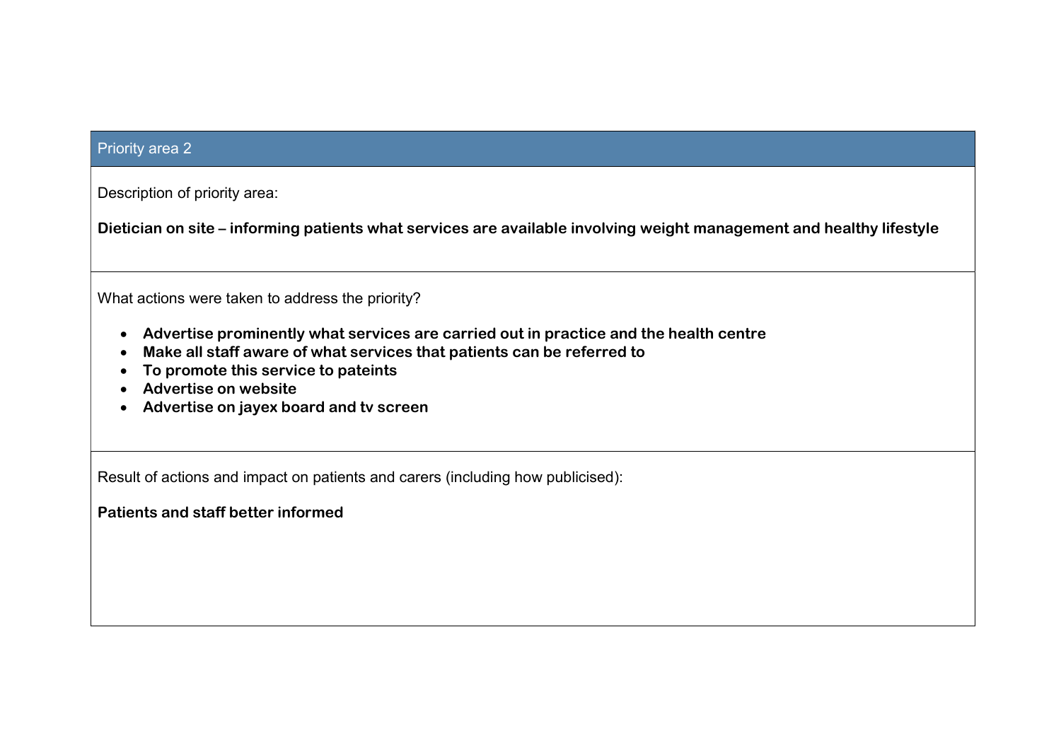#### Priority area 2

Description of priority area:

Dietician on site – informing patients what services are available involving weight management and healthy lifestyle

What actions were taken to address the priority?

- Advertise prominently what services are carried out in practice and the health centre
- Make all staff aware of what services that patients can be referred to
- To promote this service to pateints
- Advertise on website
- Advertise on jayex board and tv screen

Result of actions and impact on patients and carers (including how publicised):

Patients and staff better informed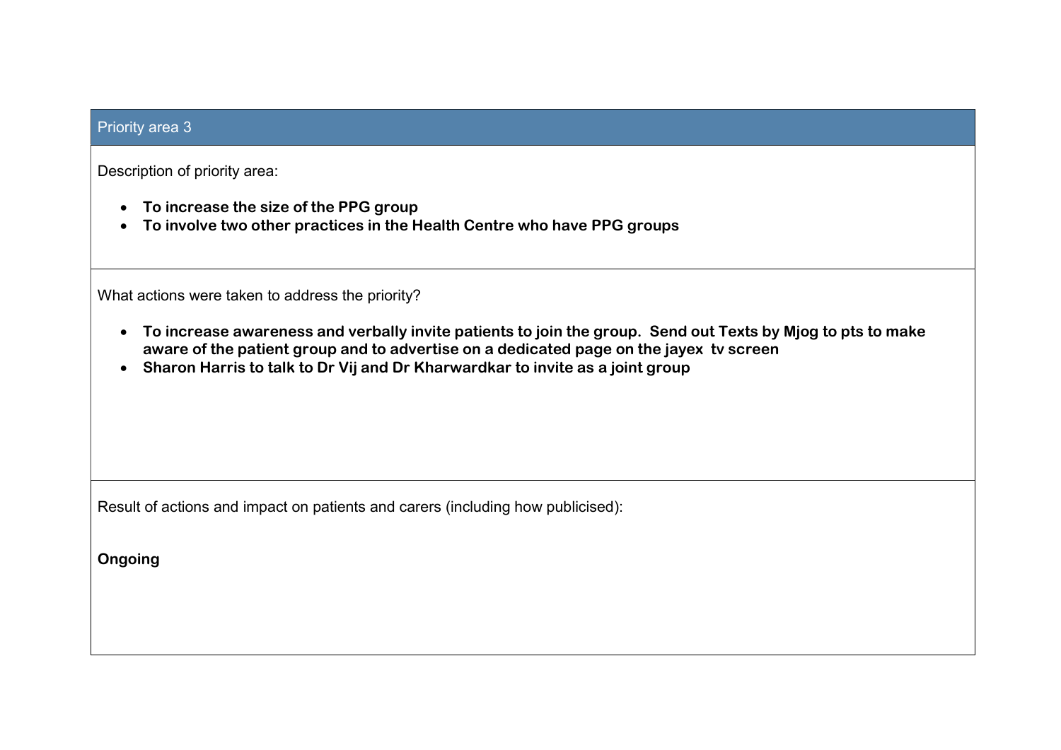## Priority area 3

Description of priority area:

- To increase the size of the PPG group
- To involve two other practices in the Health Centre who have PPG groups

What actions were taken to address the priority?

- To increase awareness and verbally invite patients to join the group. Send out Texts by Mjog to pts to make aware of the patient group and to advertise on a dedicated page on the jayex tv screen
- Sharon Harris to talk to Dr Vij and Dr Kharwardkar to invite as a joint group

Result of actions and impact on patients and carers (including how publicised):

Ongoing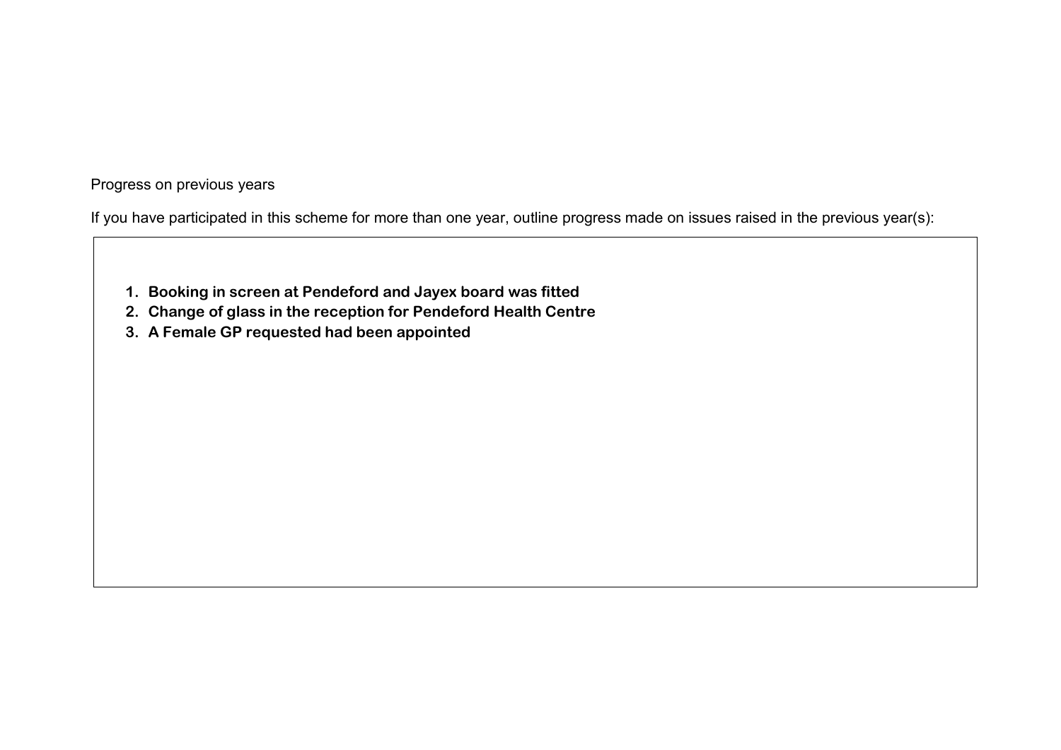Progress on previous years

If you have participated in this scheme for more than one year, outline progress made on issues raised in the previous year(s):

- 1. Booking in screen at Pendeford and Jayex board was fitted
- 2. Change of glass in the reception for Pendeford Health Centre
- 3. A Female GP requested had been appointed